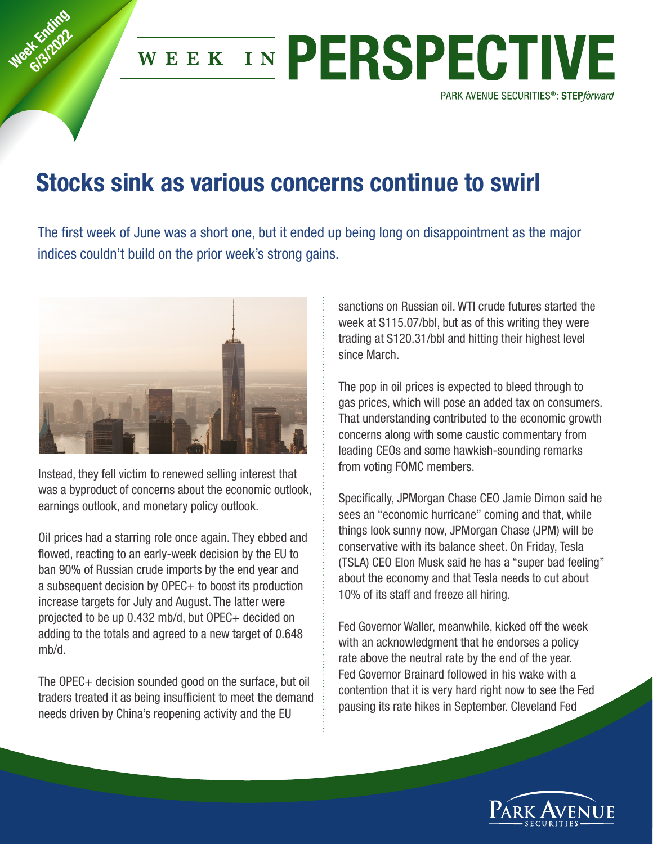

## **Stocks sink as various concerns continue to swirl**

The first week of June was a short one, but it ended up being long on disappointment as the major indices couldn't build on the prior week's strong gains.



Week Knding **6/3/2022** 

> Instead, they fell victim to renewed selling interest that was a byproduct of concerns about the economic outlook, earnings outlook, and monetary policy outlook.

Oil prices had a starring role once again. They ebbed and flowed, reacting to an early-week decision by the EU to ban 90% of Russian crude imports by the end year and a subsequent decision by OPEC+ to boost its production increase targets for July and August. The latter were projected to be up 0.432 mb/d, but OPEC+ decided on adding to the totals and agreed to a new target of 0.648 mb/d.

The OPEC+ decision sounded good on the surface, but oil traders treated it as being insufficient to meet the demand needs driven by China's reopening activity and the EU

sanctions on Russian oil. WTI crude futures started the week at \$115.07/bbl, but as of this writing they were trading at \$120.31/bbl and hitting their highest level since March.

The pop in oil prices is expected to bleed through to gas prices, which will pose an added tax on consumers. That understanding contributed to the economic growth concerns along with some caustic commentary from leading CEOs and some hawkish-sounding remarks from voting FOMC members.

Specifically, JPMorgan Chase CEO Jamie Dimon said he sees an "economic hurricane" coming and that, while things look sunny now, JPMorgan Chase (JPM) will be conservative with its balance sheet. On Friday, Tesla (TSLA) CEO Elon Musk said he has a "super bad feeling" about the economy and that Tesla needs to cut about 10% of its staff and freeze all hiring.

Fed Governor Waller, meanwhile, kicked off the week with an acknowledgment that he endorses a policy rate above the neutral rate by the end of the year. Fed Governor Brainard followed in his wake with a contention that it is very hard right now to see the Fed pausing its rate hikes in September. Cleveland Fed

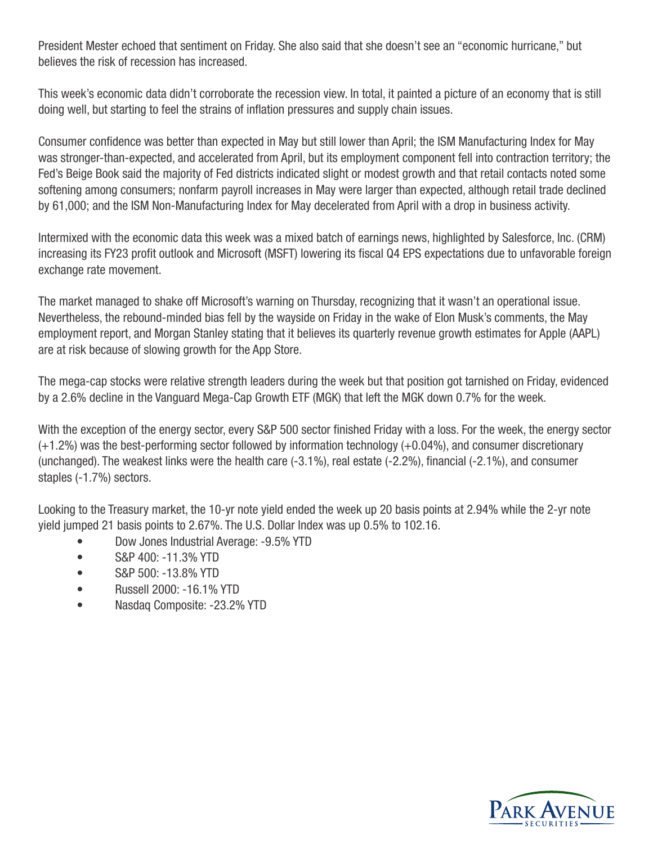President Mester echoed that sentiment on Friday. She also said that she doesn't see an "economic hurricane," but believes the risk of recession has increased.

This week's economic data didn't corroborate the recession view. In total, it painted a picture of an economy that is still doing well, but starting to feel the strains of inflation pressures and supply chain issues.

Consumer confidence was better than expected in May but still lower than April; the ISM Manufacturing Index for May was stronger-than-expected, and accelerated from April, but its employment component fell into contraction territory; the Fed's Beige Book said the majority of Fed districts indicated slight or modest growth and that retail contacts noted some softening among consumers; nonfarm payroll increases in May were larger than expected, although retail trade declined by 61,000; and the ISM Non-Manufacturing Index for May decelerated from April with a drop in business activity.

Intermixed with the economic data this week was a mixed batch of earnings news, highlighted by Salesforce, Inc. (CRM) increasing its FY23 profit outlook and Microsoft (MSFT) lowering its fiscal Q4 EPS expectations due to unfavorable foreign exchange rate movement.

The market managed to shake off Microsoft's warning on Thursday, recognizing that it wasn't an operational issue. Nevertheless, the rebound-minded bias fell by the wayside on Friday in the wake of Elon Musk's comments, the May employment report, and Morgan Stanley stating that it believes its quarterly revenue growth estimates for Apple (AAPL) are at risk because of slowing growth for the App Store.

The mega-cap stocks were relative strength leaders during the week but that position got tarnished on Friday, evidenced by a 2.6% decline in the Vanguard Mega-Cap Growth ETF (MGK) that left the MGK down 0.7% for the week.

With the exception of the energy sector, every S&P 500 sector finished Friday with a loss. For the week, the energy sector (+1.2%) was the best-performing sector followed by information technology (+0.04%), and consumer discretionary (unchanged). The weakest links were the health care (-3.1%), real estate (-2.2%), financial (-2.1%), and consumer staples (-1.7%) sectors.

Looking to the Treasury market, the 10-yr note yield ended the week up 20 basis points at 2.94% while the 2-yr note yield jumped 21 basis points to 2.67%. The U.S. Dollar Index was up 0.5% to 102.16.

- Dow Jones Industrial Average: -9.5% YTD
- S&P 400: -11.3% YTD
- S&P 500: -13.8% YTD
- Russell 2000: -16.1% YTD
- Nasdaq Composite: -23.2% YTD